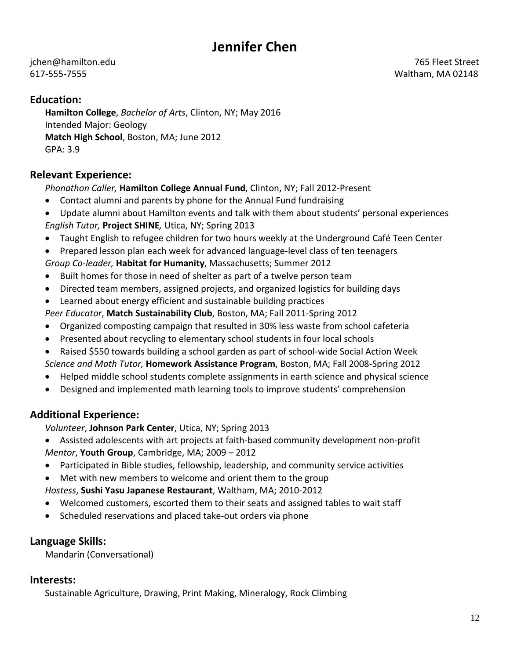# **Jennifer Chen**

617-555-7555 Waltham, MA 02148

jchen@hamilton.edu 765 Fleet Street

## **Education:**

**Hamilton College**, *Bachelor of Arts*, Clinton, NY; May 2016 Intended Major: Geology **Match High School**, Boston, MA; June 2012 GPA: 3.9

## **Relevant Experience:**

*Phonathon Caller,* **Hamilton College Annual Fund**, Clinton, NY; Fall 2012-Present

- Contact alumni and parents by phone for the Annual Fund fundraising
- Update alumni about Hamilton events and talk with them about students' personal experiences *English Tutor,* **Project SHINE***,* Utica, NY; Spring 2013
- Taught English to refugee children for two hours weekly at the Underground Café Teen Center
- Prepared lesson plan each week for advanced language-level class of ten teenagers

*Group Co-leader,* **Habitat for Humanity**, Massachusetts; Summer 2012

- Built homes for those in need of shelter as part of a twelve person team
- Directed team members, assigned projects, and organized logistics for building days
- Learned about energy efficient and sustainable building practices

*Peer Educator*, **Match Sustainability Club**, Boston, MA; Fall 2011-Spring 2012

- Organized composting campaign that resulted in 30% less waste from school cafeteria
- Presented about recycling to elementary school students in four local schools
- Raised \$550 towards building a school garden as part of school-wide Social Action Week

*Science and Math Tutor,* **Homework Assistance Program**, Boston, MA; Fall 2008-Spring 2012

- Helped middle school students complete assignments in earth science and physical science
- Designed and implemented math learning tools to improve students' comprehension

# **Additional Experience:**

*Volunteer*, **Johnson Park Center**, Utica, NY; Spring 2013

- Assisted adolescents with art projects at faith-based community development non-profit *Mentor*, **Youth Group**, Cambridge, MA; 2009 – 2012
- Participated in Bible studies, fellowship, leadership, and community service activities

• Met with new members to welcome and orient them to the group *Hostess*, **Sushi Yasu Japanese Restaurant**, Waltham, MA; 2010-2012

- Welcomed customers, escorted them to their seats and assigned tables to wait staff
- Scheduled reservations and placed take-out orders via phone

# **Language Skills:**

Mandarin (Conversational)

### **Interests:**

Sustainable Agriculture, Drawing, Print Making, Mineralogy, Rock Climbing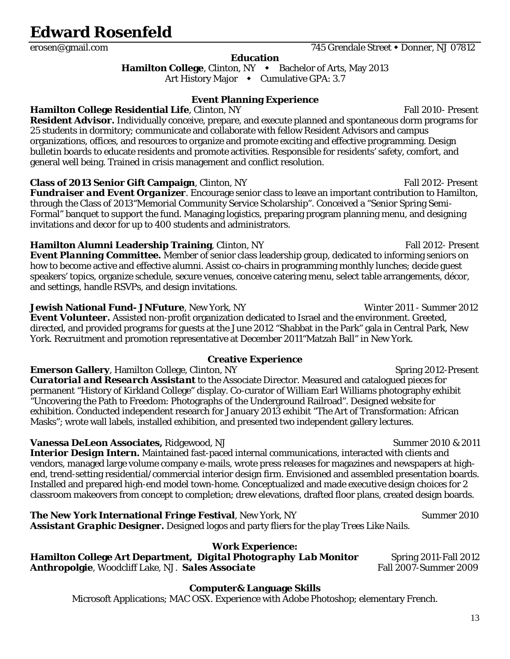# **Edward Rosenfeld**

#### **Education**

Hamilton College, Clinton, NY  $\rightarrow$  Bachelor of Arts, May 2013 Art History Major • Cumulative GPA: 3.7

#### **Event Planning Experience**

**Hamilton College Residential Life**, Clinton, NY Fall 2010- Present *Resident Advisor.* Individually conceive, prepare, and execute planned and spontaneous dorm programs for 25 students in dormitory; communicate and collaborate with fellow Resident Advisors and campus organizations, offices, and resources to organize and promote exciting and effective programming. Design bulletin boards to educate residents and promote activities. Responsible for residents' safety, comfort, and general well being. Trained in crisis management and conflict resolution.

**Class of 2013 Senior Gift Campaign**, Clinton, NY Fall 2012- Present *Fundraiser and Event Organizer*. Encourage senior class to leave an important contribution to Hamilton, through the Class of 2013"Memorial Community Service Scholarship". Conceived a "Senior Spring Semi-Formal" banquet to support the fund. Managing logistics, preparing program planning menu, and designing invitations and decor for up to 400 students and administrators.

#### **Hamilton Alumni Leadership Training**, Clinton, NY Fall 2012- Present

*Event Planning Committee.* Member of senior class leadership group, dedicated to informing seniors on how to become active and effective alumni. Assist co-chairs in programming monthly lunches; decide guest speakers' topics, organize schedule, secure venues, conceive catering menu, select table arrangements, décor, and settings, handle RSVPs, and design invitations.

**Jewish National Fund-JNFuture**, New York, NY Winter 2011 - Summer 2012 *Event Volunteer.* Assisted non-profit organization dedicated to Israel and the environment. Greeted, directed, and provided programs for guests at the June 2012 "Shabbat in the Park" gala in Central Park, New York. Recruitment and promotion representative at December 2011"Matzah Ball" in New York.

#### **Creative Experience**

**Emerson Gallery**, Hamilton College, Clinton, NY Spring 2012-Present *Curatorial and Research Assistant* to the Associate Director. Measured and catalogued pieces for permanent "History of Kirkland College" display. Co-curator of William Earl Williams photography exhibit "Uncovering the Path to Freedom: Photographs of the Underground Railroad". Designed website for exhibition. Conducted independent research for January 2013 exhibit "The Art of Transformation: African Masks"; wrote wall labels, installed exhibition, and presented two independent gallery lectures.

**Vanessa DeLeon Associates,** Ridgewood, NJ Summer 2010 & 2011

**Interior Design Intern.** Maintained fast-paced internal communications, interacted with clients and vendors, managed large volume company e-mails, wrote press releases for magazines and newspapers at highend, trend-setting residential/commercial interior design firm. Envisioned and assembled presentation boards. Installed and prepared high-end model town-home. Conceptualized and made executive design choices for 2 classroom makeovers from concept to completion; drew elevations, drafted floor plans, created design boards.

#### **The New York International Fringe Festival, New York, NY Summer 2010** Summer 2010 *Assistant Graphic Designer.* Designed logos and party fliers for the play *Trees Like Nails*.

#### **Work Experience:**

**Hamilton College Art Department, Digital Photography Lab Monitor** Spring 2011-Fall 2012 **Anthropolgie**, Woodcliff Lake, NJ. **Sales Associate** Fall 2007-Summer 2009

#### **Computer& Language Skills**

Microsoft Applications; MAC OSX. Experience with Adobe Photoshop; elementary French.

13

erosen@gmail.com 745 Grendale Street • Donner, NJ 07812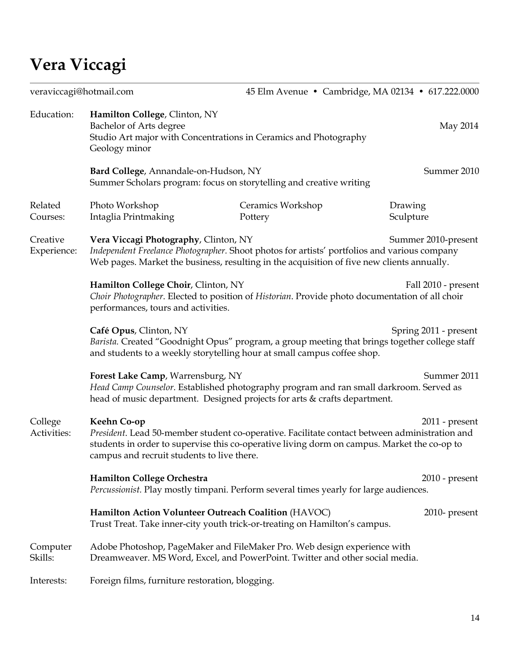# **Vera Viccagi**

| veraviccagi@hotmail.com |                                                                                                                                                                                                                                                                                      | 45 Elm Avenue • Cambridge, MA 02134 • 617.222.0000                                    |                      |  |
|-------------------------|--------------------------------------------------------------------------------------------------------------------------------------------------------------------------------------------------------------------------------------------------------------------------------------|---------------------------------------------------------------------------------------|----------------------|--|
| Education:              | Hamilton College, Clinton, NY<br>Bachelor of Arts degree<br>Geology minor                                                                                                                                                                                                            | Studio Art major with Concentrations in Ceramics and Photography                      | May 2014             |  |
|                         | Bard College, Annandale-on-Hudson, NY<br>Summer Scholars program: focus on storytelling and creative writing                                                                                                                                                                         | Summer 2010                                                                           |                      |  |
| Related<br>Courses:     | Photo Workshop<br>Intaglia Printmaking                                                                                                                                                                                                                                               | Ceramics Workshop<br>Pottery                                                          | Drawing<br>Sculpture |  |
| Creative<br>Experience: | Vera Viccagi Photography, Clinton, NY<br>Summer 2010-present<br>Independent Freelance Photographer. Shoot photos for artists' portfolios and various company<br>Web pages. Market the business, resulting in the acquisition of five new clients annually.                           |                                                                                       |                      |  |
|                         | Hamilton College Choir, Clinton, NY<br>Fall 2010 - present<br>Choir Photographer. Elected to position of Historian. Provide photo documentation of all choir<br>performances, tours and activities.                                                                                  |                                                                                       |                      |  |
|                         | Café Opus, Clinton, NY<br>Spring 2011 - present<br>Barista. Created "Goodnight Opus" program, a group meeting that brings together college staff<br>and students to a weekly storytelling hour at small campus coffee shop.                                                          |                                                                                       |                      |  |
|                         | Forest Lake Camp, Warrensburg, NY<br>Summer 2011<br>Head Camp Counselor. Established photography program and ran small darkroom. Served as<br>head of music department. Designed projects for arts & crafts department.                                                              |                                                                                       |                      |  |
| College<br>Activities:  | <b>Keehn Co-op</b><br>$2011$ - present<br>President. Lead 50-member student co-operative. Facilitate contact between administration and<br>students in order to supervise this co-operative living dorm on campus. Market the co-op to<br>campus and recruit students to live there. |                                                                                       |                      |  |
|                         | <b>Hamilton College Orchestra</b>                                                                                                                                                                                                                                                    | Percussionist. Play mostly timpani. Perform several times yearly for large audiences. | $2010$ - present     |  |
|                         | Hamilton Action Volunteer Outreach Coalition (HAVOC)                                                                                                                                                                                                                                 | Trust Treat. Take inner-city youth trick-or-treating on Hamilton's campus.            | 2010- present        |  |
| Computer<br>Skills:     | Adobe Photoshop, PageMaker and FileMaker Pro. Web design experience with<br>Dreamweaver. MS Word, Excel, and PowerPoint. Twitter and other social media.                                                                                                                             |                                                                                       |                      |  |
| Interests:              | Foreign films, furniture restoration, blogging.                                                                                                                                                                                                                                      |                                                                                       |                      |  |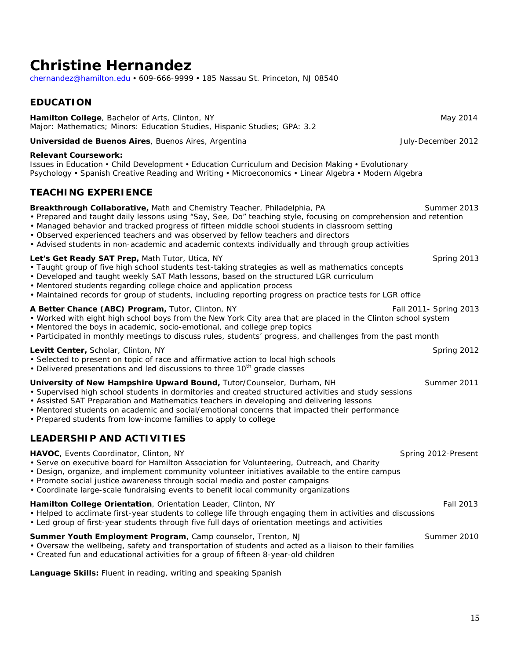# **Christine Hernandez**

[chernandez@hamilton.edu](mailto:chernandez@hamilton.edu) • 609-666-9999 • 185 Nassau St. Princeton, NJ 08540

#### **EDUCATION**

**Hamilton College**, *Bachelor of Arts*, Clinton, NY May 2014 Major: Mathematics; Minors: Education Studies, Hispanic Studies; GPA: 3.2

**Universidad de Buenos Aires**, Buenos Aires, Argentina July-December 2012

#### **Relevant Coursework:**

Issues in Education • Child Development • Education Curriculum and Decision Making • Evolutionary Psychology • Spanish Creative Reading and Writing • Microeconomics • Linear Algebra • Modern Algebra

#### **TEACHING EXPERIENCE**

#### • Managed behavior and tracked progress of fifteen middle school students in classroom setting • Observed experienced teachers and was observed by fellow teachers and directors • Advised students in non-academic and academic contexts individually and through group activities **Let's Get Ready SAT Prep,** Math Tutor, Utica, NY Spring 2013 • Taught group of five high school students test-taking strategies as well as mathematics concepts • Developed and taught weekly SAT Math lessons, based on the structured LGR curriculum • Mentored students regarding college choice and application process • Maintained records for group of students, including reporting progress on practice tests for LGR office **A Better Chance (ABC) Program,** *Tutor***, Clinton, NY Fall 2011- Spring 2013** Fall 2011- Spring 2013 • Worked with eight high school boys from the New York City area that are placed in the Clinton school system • Mentored the boys in academic, socio-emotional, and college prep topics • Participated in monthly meetings to discuss rules, students' progress, and challenges from the past month **Levitt Center,** *Scholar***, Clinton, NY** Spring 2012 • Selected to present on topic of race and affirmative action to local high schools • Delivered presentations and led discussions to three  $10<sup>th</sup>$  grade classes **University of New Hampshire Upward Bound,** *Tutor/Counselor*, Durham, NH Summer 2011 • Supervised high school students in dormitories and created structured activities and study sessions • Assisted SAT Preparation and Mathematics teachers in developing and delivering lessons • Mentored students on academic and social/emotional concerns that impacted their performance • Prepared students from low-income families to apply to college

**Breakthrough Collaborative,** *Math and Chemistry Teacher*, Philadelphia, PA Summer 2013

#### **LEADERSHIP AND ACTIVITIES**

**HAVOC***, Events Coordinator, Clinton, NY* **Spring 2012-Present** Spring 2012-Present • Serve on executive board for Hamilton Association for Volunteering, Outreach, and Charity • Design, organize, and implement community volunteer initiatives available to the entire campus • Promote social justice awareness through social media and poster campaigns

• Coordinate large-scale fundraising events to benefit local community organizations

#### **Hamilton College Orientation**, *Orientation Leader*, Clinton, NY **Fall 2013** Fall 2013

- Helped to acclimate first-year students to college life through engaging them in activities and discussions
- Led group of first-year students through five full days of orientation meetings and activities

#### **Summer Youth Employment Program**, *Camp counselor*, Trenton, NJ Summer 2010

- Oversaw the wellbeing, safety and transportation of students and acted as a liaison to their families
- Created fun and educational activities for a group of fifteen 8-year-old children

**Language Skills:** Fluent in reading, writing and speaking Spanish

• Prepared and taught daily lessons using "Say, See, Do" teaching style, focusing on comprehension and retention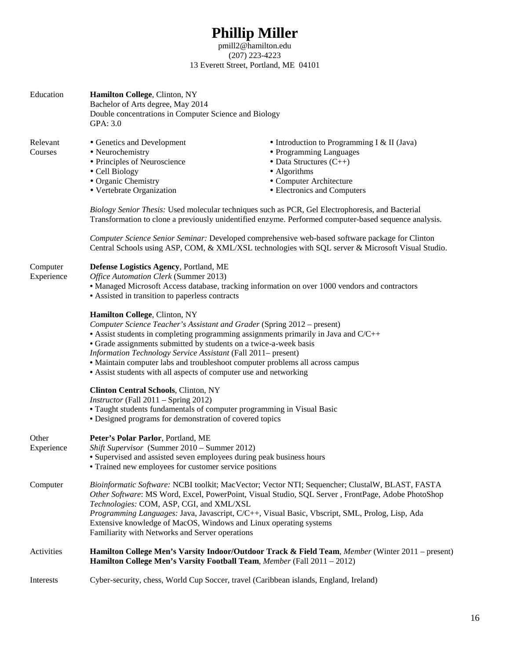# **Phillip Miller**

pmill2@hamilton.edu (207) 223-4223 13 Everett Street, Portland, ME 04101

| Education              | Hamilton College, Clinton, NY<br>Bachelor of Arts degree, May 2014<br>Double concentrations in Computer Science and Biology<br>GPA: 3.0                                                                                                                                                                                                                                                                                                                                                       |                                                                                                                                                                                     |  |  |
|------------------------|-----------------------------------------------------------------------------------------------------------------------------------------------------------------------------------------------------------------------------------------------------------------------------------------------------------------------------------------------------------------------------------------------------------------------------------------------------------------------------------------------|-------------------------------------------------------------------------------------------------------------------------------------------------------------------------------------|--|--|
| Relevant<br>Courses    | • Genetics and Development<br>• Neurochemistry<br>• Principles of Neuroscience<br>• Cell Biology<br>• Organic Chemistry<br>• Vertebrate Organization                                                                                                                                                                                                                                                                                                                                          | • Introduction to Programming I & II (Java)<br>• Programming Languages<br>$\bullet$ Data Structures (C++)<br>• Algorithms<br>• Computer Architecture<br>• Electronics and Computers |  |  |
|                        | Biology Senior Thesis: Used molecular techniques such as PCR, Gel Electrophoresis, and Bacterial<br>Transformation to clone a previously unidentified enzyme. Performed computer-based sequence analysis.                                                                                                                                                                                                                                                                                     |                                                                                                                                                                                     |  |  |
|                        | Computer Science Senior Seminar: Developed comprehensive web-based software package for Clinton<br>Central Schools using ASP, COM, & XML/XSL technologies with SQL server & Microsoft Visual Studio.                                                                                                                                                                                                                                                                                          |                                                                                                                                                                                     |  |  |
| Computer<br>Experience | Defense Logistics Agency, Portland, ME<br>Office Automation Clerk (Summer 2013)<br>• Managed Microsoft Access database, tracking information on over 1000 vendors and contractors<br>• Assisted in transition to paperless contracts                                                                                                                                                                                                                                                          |                                                                                                                                                                                     |  |  |
|                        | Hamilton College, Clinton, NY<br>Computer Science Teacher's Assistant and Grader (Spring 2012 – present)<br>• Assist students in completing programming assignments primarily in Java and $C/C++$<br>• Grade assignments submitted by students on a twice-a-week basis<br>Information Technology Service Assistant (Fall 2011– present)<br>• Maintain computer labs and troubleshoot computer problems all across campus<br>• Assist students with all aspects of computer use and networking |                                                                                                                                                                                     |  |  |
|                        | Clinton Central Schools, Clinton, NY<br>Instructor (Fall 2011 – Spring 2012)<br>• Taught students fundamentals of computer programming in Visual Basic<br>• Designed programs for demonstration of covered topics                                                                                                                                                                                                                                                                             |                                                                                                                                                                                     |  |  |
| Other<br>Experience    | Peter's Polar Parlor, Portland, ME<br>Shift Supervisor (Summer 2010 – Summer 2012)<br>• Supervised and assisted seven employees during peak business hours<br>• Trained new employees for customer service positions                                                                                                                                                                                                                                                                          |                                                                                                                                                                                     |  |  |
| Computer               | Bioinformatic Software: NCBI toolkit; MacVector; Vector NTI; Sequencher; ClustalW, BLAST, FASTA<br>Other Software: MS Word, Excel, PowerPoint, Visual Studio, SQL Server, FrontPage, Adobe PhotoShop<br>Technologies: COM, ASP, CGI, and XML/XSL<br>Programming Languages: Java, Javascript, C/C++, Visual Basic, Vbscript, SML, Prolog, Lisp, Ada<br>Extensive knowledge of MacOS, Windows and Linux operating systems<br>Familiarity with Networks and Server operations                    |                                                                                                                                                                                     |  |  |
| Activities             | Hamilton College Men's Varsity Indoor/Outdoor Track & Field Team, Member (Winter 2011 – present)<br>Hamilton College Men's Varsity Football Team, Member (Fall 2011 - 2012)                                                                                                                                                                                                                                                                                                                   |                                                                                                                                                                                     |  |  |
| Interests              |                                                                                                                                                                                                                                                                                                                                                                                                                                                                                               | Cyber-security, chess, World Cup Soccer, travel (Caribbean islands, England, Ireland)                                                                                               |  |  |